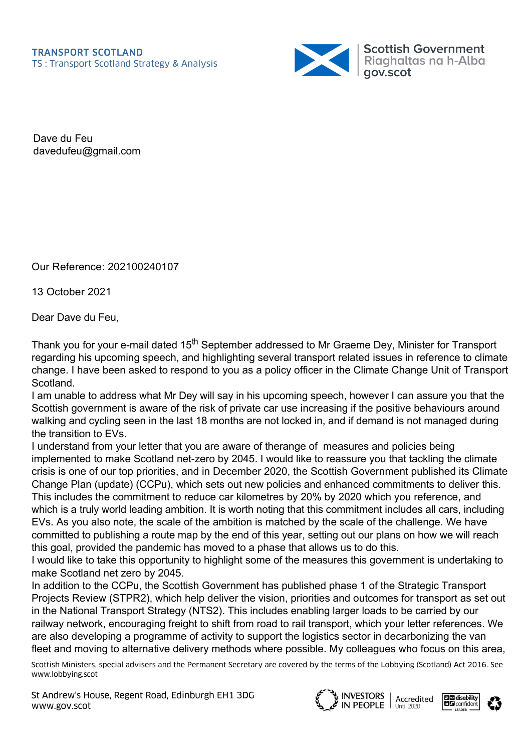

Dave du Feu davedufeu@gmail.com

Our Reference: 202100240107

13 October 2021

Dear Dave du Feu,

Thank you for your e-mail dated 15<sup>th</sup> September addressed to Mr Graeme Dey, Minister for Transport regarding his upcoming speech, and highlighting several transport related issues in reference to climate change. I have been asked to respond to you as a policy officer in the Climate Change Unit of Transport Scotland.

I am unable to address what Mr Dey will say in his upcoming speech, however I can assure you that the Scottish government is aware of the risk of private car use increasing if the positive behaviours around walking and cycling seen in the last 18 months are not locked in, and if demand is not managed during the transition to EVs.

I understand from your letter that you are aware of therange of measures and policies being implemented to make Scotland net-zero by 2045. I would like to reassure you that tackling the climate crisis is one of our top priorities, and in December 2020, the Scottish Government published its Climate Change Plan (update) (CCPu), which sets out new policies and enhanced commitments to deliver this. This includes the commitment to reduce car kilometres by 20% by 2020 which you reference, and which is a truly world leading ambition. It is worth noting that this commitment includes all cars, including EVs. As you also note, the scale of the ambition is matched by the scale of the challenge. We have committed to publishing a route map by the end of this year, setting out our plans on how we will reach this goal, provided the pandemic has moved to a phase that allows us to do this.

I would like to take this opportunity to highlight some of the measures this government is undertaking to make Scotland net zero by 2045.

In addition to the CCPu, the Scottish Government has published phase 1 of the Strategic Transport Projects Review (STPR2), which help deliver the vision, priorities and outcomes for transport as set out in the National Transport Strategy (NTS2). This includes enabling larger loads to be carried by our railway network, encouraging freight to shift from road to rail transport, which your letter references. We are also developing a programme of activity to support the logistics sector in decarbonizing the van fleet and moving to alternative delivery methods where possible. My colleagues who focus on this area,

Scottish Ministers, special advisers and the Permanent Secretary are covered by the terms of the Lobbying (Scotland) Act 2016. See www.lobbying.scot

St Andrew's House, Regent Road, Edinburgh EH1 3DG www.gov.scot

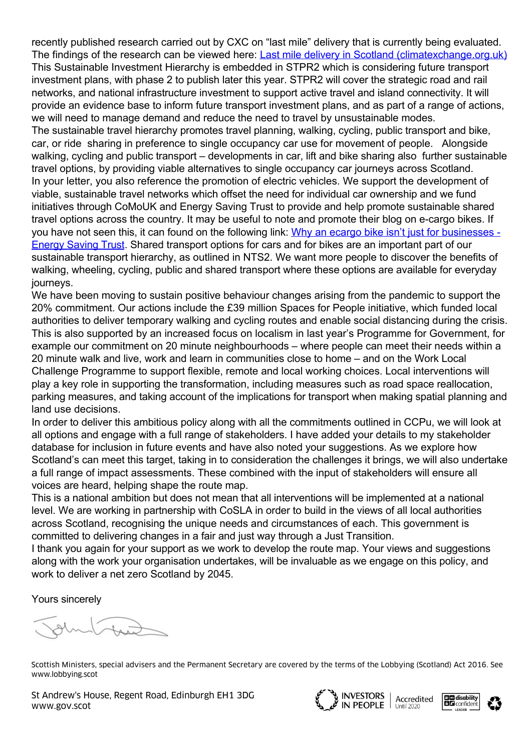recently published research carried out by CXC on "last mile" delivery that is currently being evaluated. The findings of the research can be viewed here: [Last mile delivery in Scotland \(climatexchange.org.uk\)](https://www.climatexchange.org.uk/research/projects/last-mile-delivery-in-scotland/) This Sustainable Investment Hierarchy is embedded in STPR2 which is considering future transport investment plans, with phase 2 to publish later this year. STPR2 will cover the strategic road and rail networks, and national infrastructure investment to support active travel and island connectivity. It will provide an evidence base to inform future transport investment plans, and as part of a range of actions, we will need to manage demand and reduce the need to travel by unsustainable modes.

The sustainable travel hierarchy promotes travel planning, walking, cycling, public transport and bike, car, or ride sharing in preference to single occupancy car use for movement of people. Alongside walking, cycling and public transport – developments in car, lift and bike sharing also further sustainable travel options, by providing viable alternatives to single occupancy car journeys across Scotland. In your letter, you also reference the promotion of electric vehicles. We support the development of viable, sustainable travel networks which offset the need for individual car ownership and we fund initiatives through CoMoUK and Energy Saving Trust to provide and help promote sustainable shared travel options across the country. It may be useful to note and promote their blog on e-cargo bikes. If [you have not seen this, it can found on the following link: Why an ecargo bike isn't just for businesses -](https://energysavingtrust.org.uk/why-an-ecargo-bike-isnt-just-for-businesses/) Energy Saving Trust. Shared transport options for cars and for bikes are an important part of our sustainable transport hierarchy, as outlined in NTS2. We want more people to discover the benefits of walking, wheeling, cycling, public and shared transport where these options are available for everyday journeys.

We have been moving to sustain positive behaviour changes arising from the pandemic to support the 20% commitment. Our actions include the £39 million Spaces for People initiative, which funded local authorities to deliver temporary walking and cycling routes and enable social distancing during the crisis. This is also supported by an increased focus on localism in last year's Programme for Government, for example our commitment on 20 minute neighbourhoods – where people can meet their needs within a 20 minute walk and live, work and learn in communities close to home – and on the Work Local Challenge Programme to support flexible, remote and local working choices. Local interventions will play a key role in supporting the transformation, including measures such as road space reallocation, parking measures, and taking account of the implications for transport when making spatial planning and land use decisions.

In order to deliver this ambitious policy along with all the commitments outlined in CCPu, we will look at all options and engage with a full range of stakeholders. I have added your details to my stakeholder database for inclusion in future events and have also noted your suggestions. As we explore how Scotland's can meet this target, taking in to consideration the challenges it brings, we will also undertake a full range of impact assessments. These combined with the input of stakeholders will ensure all voices are heard, helping shape the route map.

This is a national ambition but does not mean that all interventions will be implemented at a national level. We are working in partnership with CoSLA in order to build in the views of all local authorities across Scotland, recognising the unique needs and circumstances of each. This government is committed to delivering changes in a fair and just way through a Just Transition.

I thank you again for your support as we work to develop the route map. Your views and suggestions along with the work your organisation undertakes, will be invaluable as we engage on this policy, and work to deliver a net zero Scotland by 2045.

Yours sincerely

Scottish Ministers, special advisers and the Permanent Secretary are covered by the terms of the Lobbying (Scotland) Act 2016. See www.lobbying.scot

St Andrew's House, Regent Road, Edinburgh EH1 3DG www.gov.scot